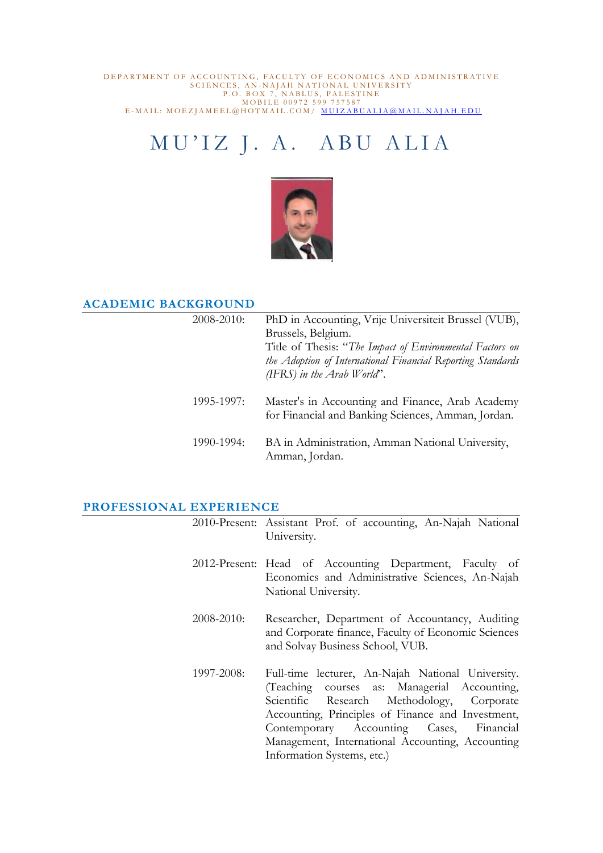#### DEPARTMENT OF ACCOUNTING, FACULTY OF ECONOMICS AND ADMINISTRATIVE SCIENCES, AN-NAJAH NATIONAL UNIVERSITY P.O. BOX 7, NABLUS, PALESTINE M O B I L E 0 0 9 7 2 5 9 9 7 5 7 5 8 7 E - M A I L : M O E Z J A M E E L @ H O T M A I L . C O M / M U I Z A B U A L I A <u>@ M A I L . N A J A H . E D U</u>

# MU'IZ J. A. ABU ALIA



#### **ACADEMIC BACKGROUND**

| PhD in Accounting, Vrije Universiteit Brussel (VUB),        |
|-------------------------------------------------------------|
| Brussels, Belgium.                                          |
| Title of Thesis: "The Impact of Environmental Factors on    |
| the Adoption of International Financial Reporting Standards |
| (IFRS) in the Arab World'.                                  |
|                                                             |
| Master's in Accounting and Finance, Arab Academy            |
| for Financial and Banking Sciences, Amman, Jordan.          |
|                                                             |
| BA in Administration, Amman National University,            |
| Amman, Jordan.                                              |
|                                                             |

#### **PROFESSIONAL EXPERIENCE**

|            | 2010-Present: Assistant Prof. of accounting, An-Najah National<br>University.                                                                                                                                                                                                                                                      |
|------------|------------------------------------------------------------------------------------------------------------------------------------------------------------------------------------------------------------------------------------------------------------------------------------------------------------------------------------|
|            | 2012-Present: Head of Accounting Department, Faculty of<br>Economics and Administrative Sciences, An-Najah<br>National University.                                                                                                                                                                                                 |
| 2008-2010: | Researcher, Department of Accountancy, Auditing<br>and Corporate finance, Faculty of Economic Sciences<br>and Solvay Business School, VUB.                                                                                                                                                                                         |
| 1997-2008: | Full-time lecturer, An-Najah National University.<br>(Teaching courses as: Managerial Accounting,<br>Scientific Research Methodology, Corporate<br>Accounting, Principles of Finance and Investment,<br>Contemporary Accounting Cases, Financial<br>Management, International Accounting, Accounting<br>Information Systems, etc.) |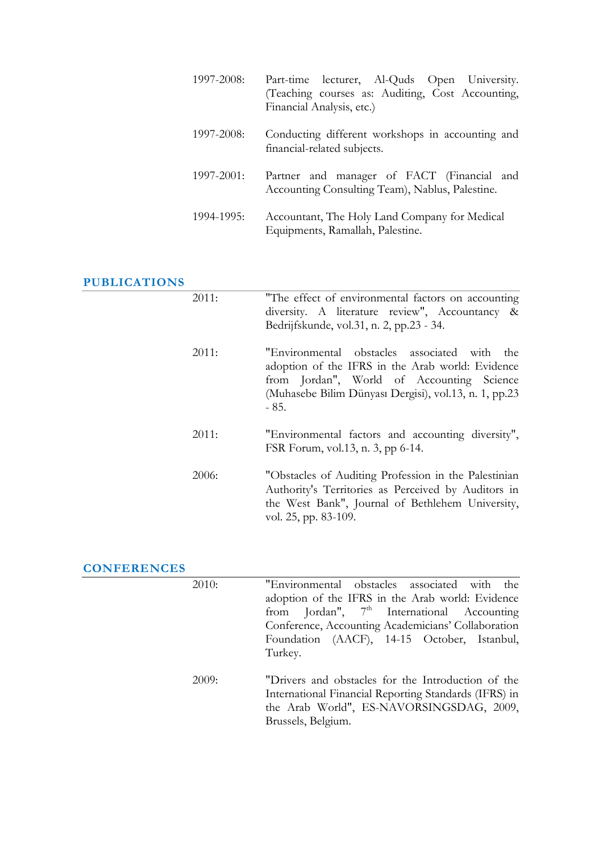| 1997-2008: | Part-time lecturer, Al-Quds Open University.<br>(Teaching courses as: Auditing, Cost Accounting,<br>Financial Analysis, etc.) |
|------------|-------------------------------------------------------------------------------------------------------------------------------|
| 1997-2008: | Conducting different workshops in accounting and<br>financial-related subjects.                                               |
| 1997-2001: | Partner and manager of FACT (Financial and<br>Accounting Consulting Team), Nablus, Palestine.                                 |
| 1994-1995: | Accountant, The Holy Land Company for Medical<br>Equipments, Ramallah, Palestine.                                             |

#### **PUBLICATIONS**

| 2011: | "The effect of environmental factors on accounting<br>diversity. A literature review", Accountancy &<br>Bedrijfskunde, vol.31, n. 2, pp.23 - 34.                                                                   |
|-------|--------------------------------------------------------------------------------------------------------------------------------------------------------------------------------------------------------------------|
| 2011: | "Environmental obstacles associated with<br>the<br>adoption of the IFRS in the Arab world: Evidence<br>from Jordan", World of Accounting Science<br>(Muhasebe Bilim Dünyası Dergisi), vol.13, n. 1, pp.23<br>- 85. |
| 2011: | "Environmental factors and accounting diversity",<br>FSR Forum, vol.13, n. 3, pp 6-14.                                                                                                                             |
| 2006: | "Obstacles of Auditing Profession in the Palestinian<br>Authority's Territories as Perceived by Auditors in<br>the West Bank", Journal of Bethlehem University,<br>vol. 25, pp. 83-109.                            |
|       |                                                                                                                                                                                                                    |

## **CONFERENCES**

| "Environmental obstacles associated with the                                                                                                                                  |
|-------------------------------------------------------------------------------------------------------------------------------------------------------------------------------|
| adoption of the IFRS in the Arab world: Evidence                                                                                                                              |
| from Jordan", $7th$ International Accounting                                                                                                                                  |
| Conference, Accounting Academicians' Collaboration                                                                                                                            |
| Foundation (AACF), 14-15 October, Istanbul,                                                                                                                                   |
| Turkey.                                                                                                                                                                       |
| "Drivers and obstacles for the Introduction of the<br>International Financial Reporting Standards (IFRS) in<br>the Arab World", ES-NAVORSINGSDAG, 2009,<br>Brussels, Belgium. |
|                                                                                                                                                                               |